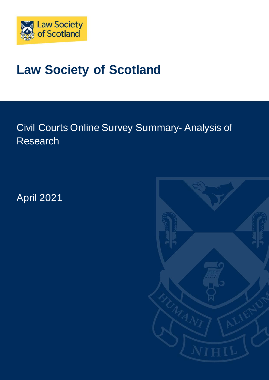

# **Law Society of Scotland**

Civil Courts Online Survey Summary- Analysis of Research

April 2021

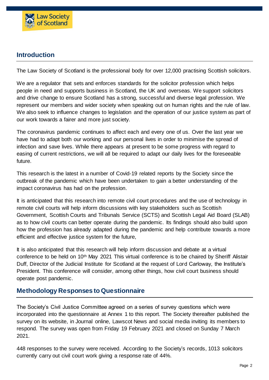

# **Introduction**

The Law Society of Scotland is the professional body for over 12,000 practising Scottish solicitors.

We are a regulator that sets and enforces standards for the solicitor profession which helps people in need and supports business in Scotland, the UK and overseas. We support solicitors and drive change to ensure Scotland has a strong, successful and diverse legal profession. We represent our members and wider society when speaking out on human rights and the rule of law. We also seek to influence changes to legislation and the operation of our justice system as part of our work towards a fairer and more just society.

The coronavirus pandemic continues to affect each and every one of us. Over the last year we have had to adapt both our working and our personal lives in order to minimise the spread of infection and save lives. While there appears at present to be some progress with regard to easing of current restrictions, we will all be required to adapt our daily lives for the foreseeable future.

This research is the latest in a number of Covid-19 related reports by the Society since the outbreak of the pandemic which have been undertaken to gain a better understanding of the impact coronavirus has had on the profession.

It is anticipated that this research into remote civil court procedures and the use of technology in remote civil courts will help inform discussions with key stakeholders such as Scottish Government, Scottish Courts and Tribunals Service (SCTS) and Scottish Legal Aid Board (SLAB) as to how civil courts can better operate during the pandemic. Its findings should also build upon how the profession has already adapted during the pandemic and help contribute towards a more efficient and effective justice system for the future,

It is also anticipated that this research will help inform discussion and debate at a virtual conference to be held on 10th May 2021 This virtual conference is to be chaired by Sheriff Alistair Duff, Director of the Judicial Institute for Scotland at the request of Lord Carloway, the Institute's President. This conference will consider, among other things, how civil court business should operate post pandemic.

# **Methodology Responses to Questionnaire**

The Society's Civil Justice Committee agreed on a series of survey questions which were incorporated into the questionnaire at Annex 1 to this report. The Society thereafter published the survey on its website, in Journal online, Lawscot News and social media inviting its members to respond. The survey was open from Friday 19 February 2021 and closed on Sunday 7 March 2021.

448 responses to the survey were received. According to the Society's records, 1013 solicitors currently carry out civil court work giving a response rate of 44%.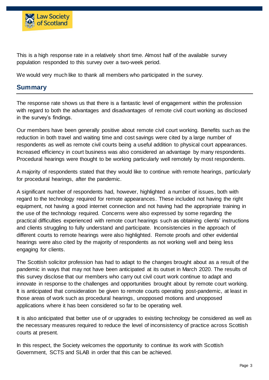

This is a high response rate in a relatively short time. Almost half of the available survey population responded to this survey over a two-week period.

We would very much like to thank all members who participated in the survey.

# **Summary**

The response rate shows us that there is a fantastic level of engagement within the profession with regard to both the advantages and disadvantages of remote civil court working as disclosed in the survey's findings.

Our members have been generally positive about remote civil court working. Benefits such as the reduction in both travel and waiting time and cost savings were cited by a large number of respondents as well as remote civil courts being a useful addition to physical court appearances. Increased efficiency in court business was also considered an advantage by many respondents. Procedural hearings were thought to be working particularly well remotely by most respondents.

A majority of respondents stated that they would like to continue with remote hearings, particularly for procedural hearings, after the pandemic.

A significant number of respondents had, however, highlighted a number of issues, both with regard to the technology required for remote appearances. These included not having the right equipment, not having a good internet connection and not having had the appropriate training in the use of the technology required. Concerns were also expressed by some regarding the practical difficulties experienced with remote court hearings such as obtaining clients' instructions and clients struggling to fully understand and participate. Inconsistencies in the approach of different courts to remote hearings were also highlighted. Remote proofs and other evidential hearings were also cited by the majority of respondents as not working well and being less engaging for clients.

The Scottish solicitor profession has had to adapt to the changes brought about as a result of the pandemic in ways that may not have been anticipated at its outset in March 2020. The results of this survey disclose that our members who carry out civil court work continue to adapt and innovate in response to the challenges and opportunities brought about by remote court working. It is anticipated that consideration be given to remote courts operating post-pandemic, at least in those areas of work such as procedural hearings, unopposed motions and unopposed applications where it has been considered so far to be operating well.

It is also anticipated that better use of or upgrades to existing technology be considered as well as the necessary measures required to reduce the level of inconsistency of practice across Scottish courts at present.

In this respect, the Society welcomes the opportunity to continue its work with Scottish Government, SCTS and SLAB in order that this can be achieved.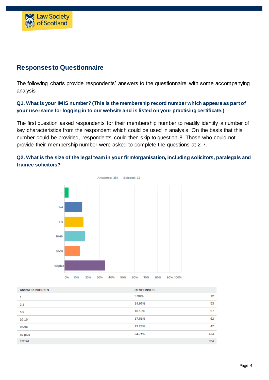

# **Responses to Questionnaire**

The following charts provide respondents' answers to the questionnaire with some accompanying analysis

#### **Q1. What is your IMIS number? (This is the membership record number which appears as part of your username for logging in to our website and is listed on your practising certificate.)**

The first question asked respondents for their membership number to readily identify a number of key characteristics from the respondent which could be used in analysis. On the basis that this number could be provided, respondents could then skip to question 8. Those who could not provide their membership number were asked to complete the questions at 2-7.

#### **Q2. What is the size of the legal team in your firm/organisation, including solicitors, paralegals and trainee solicitors?**



| <b>ANSWER CHOICES</b> | <b>RESPONSES</b> |     |
|-----------------------|------------------|-----|
| 1                     | 3.39%            | 12  |
| $2 - 4$               | 14.97%           | 53  |
| $5-9$                 | 16.10%           | 57  |
| 10-19                 | 17.51%           | 62  |
| 20-39                 | 13.28%           | 47  |
| 40 plus               | 34.75%           | 123 |
| <b>TOTAL</b>          |                  | 354 |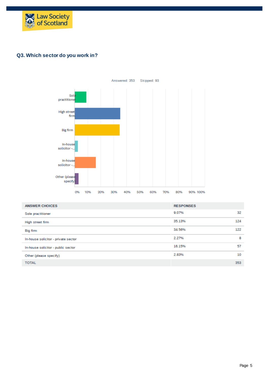

#### **Q3. Which sector do you work in?**



| <b>ANSWER CHOICES</b>               | <b>RESPONSES</b> |     |
|-------------------------------------|------------------|-----|
| Sole practitioner                   | 9.07%            | 32  |
| High street firm                    | 35.13%           | 124 |
| Big firm                            | 34.56%           | 122 |
| In-house solicitor - private sector | 2.27%            | 8   |
| In-house solicitor - public sector  | 16.15%           | 57  |
| Other (please specify)              | 2.83%            | 10  |
| <b>TOTAL</b>                        | 353              |     |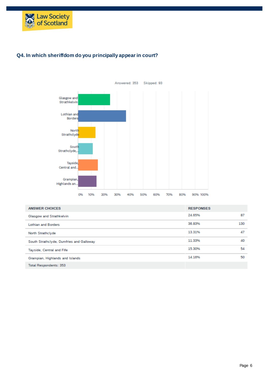

#### **Q4. In which sheriffdom do you principally appear in court?**



| <b>ANSWER CHOICES</b>                    | <b>RESPONSES</b> |     |
|------------------------------------------|------------------|-----|
| Glasgow and Strathkelvin                 | 24.65%           | 87  |
| <b>Lothian and Borders</b>               | 36.83%           | 130 |
| North Strathclyde                        | 13.31%           | 47  |
| South Strathclyde, Dumfries and Galloway | 11.33%           | 40  |
| Tayside, Central and Fife                | 15.30%           | 54  |
| Grampian, Highlands and Islands          | 14.16%           | 50  |
| <b>Total Respondents: 353</b>            |                  |     |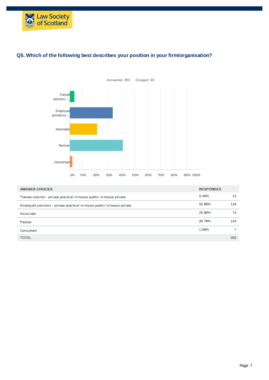

#### **Q5. Which of the following best describes your position in your firm/organisation?**



| <b>ANSWER CHOICES</b>                                                     | <b>RESPONSES</b> |     |
|---------------------------------------------------------------------------|------------------|-----|
| Trainee solicitor - private practice/ in-house public/ in-house private   | 3.40%            | 12  |
| Employed solicitors - private practice/ in-house public/ in-house private | 32.86%           | 116 |
| Associate                                                                 | 20.96%           | 74  |
| Partner                                                                   | 40.79%           | 144 |
| Consultant                                                                | 1.98%            |     |
| <b>TOTAL</b>                                                              |                  | 353 |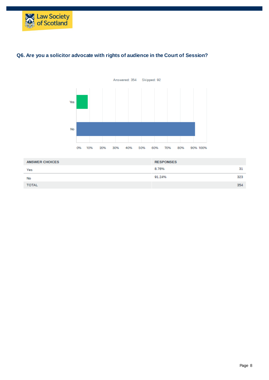



# **Q6. Are you a solicitor advocate with rights of audience in the Court of Session?**

| <b>ANSWER CHOICES</b> | <b>RESPONSES</b> |     |
|-----------------------|------------------|-----|
| Yes                   | 8.76%            | 31  |
| No                    | 91.24%           | 323 |
| <b>TOTAL</b>          |                  | 354 |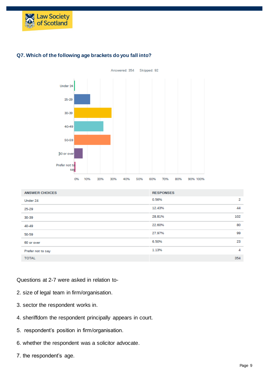



#### **Q7. Which of the following age brackets do you fall into?**

| <b>ANSWER CHOICES</b> | <b>RESPONSES</b> |     |
|-----------------------|------------------|-----|
| Under 24              | 0.56%            | 2   |
| 25-29                 | 12.43%           | 44  |
| 30-39                 | 28.81%           | 102 |
| 40-49                 | 22.60%           | 80  |
| 50-59                 | 27.97%           | 99  |
| 60 or over            | 6.50%            | 23  |
| Prefer not to say     | 1.13%            | 4   |
| <b>TOTAL</b>          |                  | 354 |

#### Questions at 2-7 were asked in relation to-

- 2. size of legal team in firm/organisation.
- 3. sector the respondent works in.
- 4. sheriffdom the respondent principally appears in court.
- 5. respondent's position in firm/organisation.
- 6. whether the respondent was a solicitor advocate.
- 7. the respondent's age.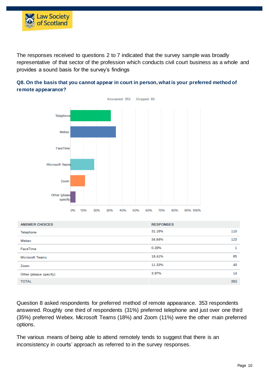

The responses received to questions 2 to 7 indicated that the survey sample was broadly representative of that sector of the profession which conducts civil court business as a whole and provides a sound basis for the survey's findings





| <b>ANSWER CHOICES</b>  | <b>RESPONSES</b> |     |
|------------------------|------------------|-----|
| Telephone              | 31.16%           | 110 |
| Webex                  | 34.84%           | 123 |
| FaceTime               | 0.28%            | 1   |
| <b>Microsoft Teams</b> | 18.41%           | 65  |
| Zoom                   | 11.33%           | 40  |
| Other (please specify) | 3.97%            | 14  |
| <b>TOTAL</b>           |                  | 353 |

Question 8 asked respondents for preferred method of remote appearance. 353 respondents answered. Roughly one third of respondents (31%) preferred telephone and just over one third (35%) preferred Webex. Microsoft Teams (18%) and Zoom (11%) were the other main preferred options.

The various means of being able to attend remotely tends to suggest that there is an inconsistency in courts' approach as referred to in the survey responses.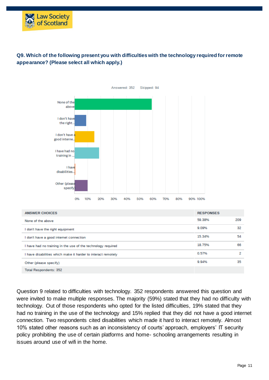

## **Q9. Which of the following present you with difficulties with the technology required for remote appearance? (Please select all which apply.)**



| <b>ANSWER CHOICES</b>                                         | <b>RESPONSES</b> |     |
|---------------------------------------------------------------|------------------|-----|
| None of the above                                             | 59.38%           | 209 |
| don't have the right equipment                                | 9.09%            | 32  |
| don't have a good internet connection                         | 15.34%           | 54  |
| I have had no training in the use of the technology required  | 18.75%           | 66  |
| I have disabilities which make it harder to interact remotely | 0.57%            | 2   |
| Other (please specify)                                        | 994%             | 35  |
| <b>Total Respondents: 352</b>                                 |                  |     |

Question 9 related to difficulties with technology. 352 respondents answered this question and were invited to make multiple responses. The majority (59%) stated that they had no difficulty with technology. Out of those respondents who opted for the listed difficulties, 19% stated that they had no training in the use of the technology and 15% replied that they did not have a good internet connection. Two respondents cited disabilities which made it hard to interact remotely. Almost 10% stated other reasons such as an inconsistency of courts' approach, employers' IT security policy prohibiting the use of certain platforms and home- schooling arrangements resulting in issues around use of wifi in the home.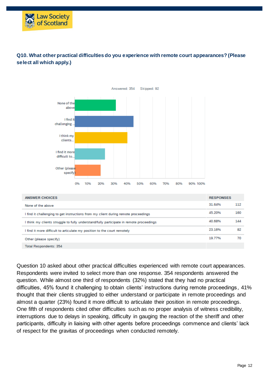



#### **Q10. What other practical difficulties do you experience with remote court appearances? (Please select all which apply.)**

Question 10 asked about other practical difficulties experienced with remote court appearances. Respondents were invited to select more than one response. 354 respondents answered the question. While almost one third of respondents (32%) stated that they had no practical difficulties, 45% found it challenging to obtain clients' instructions during remote proceedings, 41% thought that their clients struggled to either understand or participate in remote proceedings and almost a quarter (23%) found it more difficult to articulate their position in remote proceedings. One fifth of respondents cited other difficulties such as no proper analysis of witness credibility, interruptions due to delays in speaking, difficulty in gauging the reaction of the sheriff and other participants, difficulty in liaising with other agents before proceedings commence and clients' lack of respect for the gravitas of proceedings when conducted remotely.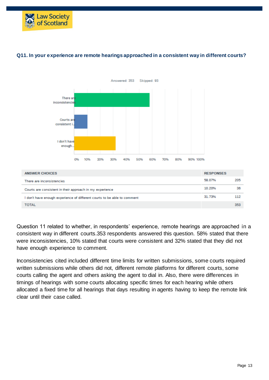



#### **Q11. In your experience are remote hearings approached in a consistent way in different courts?**

Question 11 related to whether, in respondents' experience, remote hearings are approached in a consistent way in different courts.353 respondents answered this question. 58% stated that there were inconsistencies, 10% stated that courts were consistent and 32% stated that they did not have enough experience to comment.

Inconsistencies cited included different time limits for written submissions, some courts required written submissions while others did not, different remote platforms for different courts, some courts calling the agent and others asking the agent to dial in. Also, there were differences in timings of hearings with some courts allocating specific times for each hearing while others allocated a fixed time for all hearings that days resulting in agents having to keep the remote link clear until their case called.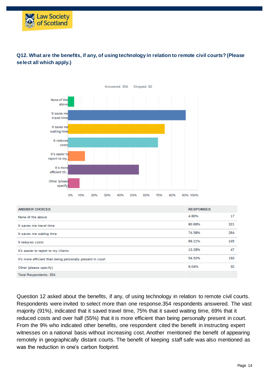

### **Q12. What are the benefits, if any, of using technology in relation to remote civil courts? (Please select all which apply.)**

| <b>ANSWER CHOICES</b>                                      | <b>RESPONSES</b> |     |
|------------------------------------------------------------|------------------|-----|
| None of the above                                          | 4.80%            | 17  |
| It saves me travel time                                    | 90.68%           | 321 |
| It saves me waiting time                                   | 74.58%           | 264 |
| It reduces costs                                           | 69.21%           | 245 |
| It's easier to report to my clients                        | 13.28%           | 47  |
| It's more efficient than being personally present in court | 54.52%           | 193 |
| Other (please specify)                                     | 9.04%            | 32  |
| <b>Total Respondents: 354</b>                              |                  |     |

Question 12 asked about the benefits, if any, of using technology in relation to remote civil courts. Respondents were invited to select more than one response.354 respondents answered. The vast majority (91%), indicated that it saved travel time, 75% that it saved waiting time, 69% that it reduced costs and over half (55%) that it is more efficient than being personally present in court. From the 9% who indicated other benefits, one respondent cited the benefit in instructing expert witnesses on a national basis without increasing cost. Another mentioned the benefit of appearing remotely in geographically distant courts. The benefit of keeping staff safe was also mentioned as was the reduction in one's carbon footprint.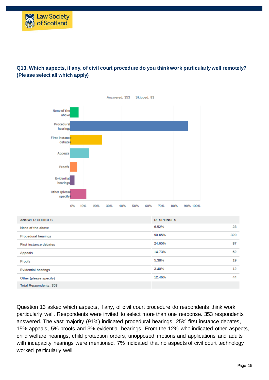

# **Q13. Which aspects, if any, of civil court procedure do you think work particularly well remotely? (Please select all which apply)**



Question 13 asked which aspects, if any, of civil court procedure do respondents think work particularly well. Respondents were invited to select more than one response. 353 respondents answered. The vast majority (91%) indicated procedural hearings, 25% first instance debates, 15% appeals, 5% proofs and 3% evidential hearings. From the 12% who indicated other aspects, child welfare hearings, child protection orders, unopposed motions and applications and adults with incapacity hearings were mentioned. 7% indicated that no aspects of civil court technology worked particularly well.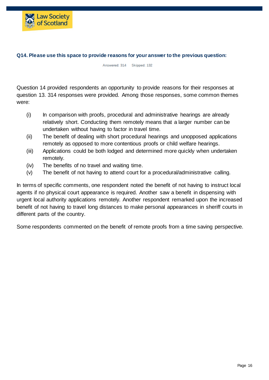

#### **Q14. Please use this space to provide reasons for your answer to the previous question:**

Answered: 314 Skipped: 132

Question 14 provided respondents an opportunity to provide reasons for their responses at question 13. 314 responses were provided. Among those responses, some common themes were:

- (i) In comparison with proofs, procedural and administrative hearings are already relatively short. Conducting them remotely means that a larger number can be undertaken without having to factor in travel time.
- (ii) The benefit of dealing with short procedural hearings and unopposed applications remotely as opposed to more contentious proofs or child welfare hearings.
- (iii) Applications could be both lodged and determined more quickly when undertaken remotely.
- (iv) The benefits of no travel and waiting time.
- (v) The benefit of not having to attend court for a procedural/administrative calling.

In terms of specific comments, one respondent noted the benefit of not having to instruct local agents if no physical court appearance is required. Another saw a benefit in dispensing with urgent local authority applications remotely. Another respondent remarked upon the increased benefit of not having to travel long distances to make personal appearances in sheriff courts in different parts of the country.

Some respondents commented on the benefit of remote proofs from a time saving perspective.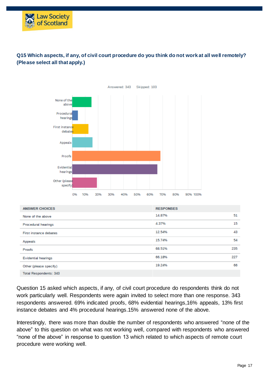

## **Q15 Which aspects, if any, of civil court procedure do you think do not work at all well remotely? (Please select all that apply.)**



| <b>ANSWER CHOICES</b>      | <b>RESPONSES</b> |     |
|----------------------------|------------------|-----|
| None of the above          | 14.87%           | 51  |
| Procedural hearings        | 4.37%            | 15  |
| First instance debates     | 12.54%           | 43  |
| Appeals                    | 15.74%           | 54  |
| Proofs                     | 68.51%           | 235 |
| <b>Evidential hearings</b> | 66.18%           | 227 |
| Other (please specify)     | 19.24%           | 66  |
| Total Respondents: 343     |                  |     |

Question 15 asked which aspects, if any, of civil court procedure do respondents think do not work particularly well. Respondents were again invited to select more than one response. 343 respondents answered. 69% indicated proofs, 68% evidential hearings,16% appeals, 13% first instance debates and 4% procedural hearings.15% answered none of the above.

Interestingly, there was more than double the number of respondents who answered "none of the above" to this question on what was not working well, compared with respondents who answered "none of the above" in response to question 13 which related to which aspects of remote court procedure were working well.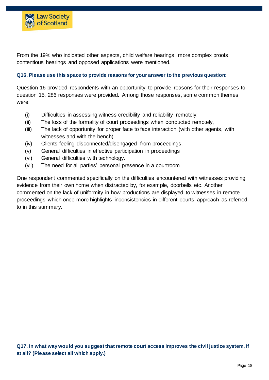

From the 19% who indicated other aspects, child welfare hearings, more complex proofs, contentious hearings and opposed applications were mentioned.

#### **Q16. Please use this space to provide reasons for your answer to the previous question:**

Question 16 provided respondents with an opportunity to provide reasons for their responses to question 15. 286 responses were provided. Among those responses, some common themes were:

- (i) Difficulties in assessing witness credibility and reliability remotely.
- (ii) The loss of the formality of court proceedings when conducted remotely,
- (iii) The lack of opportunity for proper face to face interaction (with other agents, with witnesses and with the bench)
- (iv) Clients feeling disconnected/disengaged from proceedings.
- (v) General difficulties in effective participation in proceedings
- (vi) General difficulties with technology.
- (vii) The need for all parties' personal presence in a courtroom

One respondent commented specifically on the difficulties encountered with witnesses providing evidence from their own home when distracted by, for example, doorbells etc. Another commented on the lack of uniformity in how productions are displayed to witnesses in remote proceedings which once more highlights inconsistencies in different courts' approach as referred to in this summary.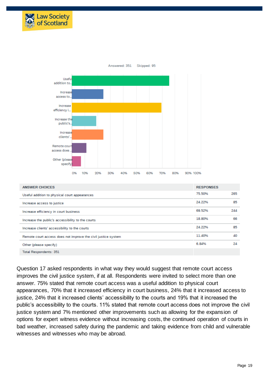



| <b>ANSWER CHOICES</b>                                         | <b>RESPONSES</b> |     |
|---------------------------------------------------------------|------------------|-----|
| Useful addition to physical court appearances                 | 75.50%           | 265 |
| Increase access to justice                                    | 24.22%           | 85  |
| Increase efficiency in court business                         | 69.52%           | 244 |
| Increase the public's accessibility to the courts             | 18.80%           | 66  |
| Increase clients' accessibility to the courts                 | 24.22%           | 85  |
| Remote court access does not improve the civil justice system | 11.40%           | 40  |
| Other (please specify)                                        | 6.84%            | 24  |
| <b>Total Respondents: 351</b>                                 |                  |     |

Question 17 asked respondents in what way they would suggest that remote court access improves the civil justice system, if at all. Respondents were invited to select more than one answer. 75% stated that remote court access was a useful addition to physical court appearances, 70% that it increased efficiency in court business, 24% that it increased access to justice, 24% that it increased clients' accessibility to the courts and 19% that it increased the public's accessibility to the courts. 11% stated that remote court access does not improve the civil justice system and 7% mentioned other improvements such as allowing for the expansion of options for expert witness evidence without increasing costs, the continued operation of courts in bad weather, increased safety during the pandemic and taking evidence from child and vulnerable witnesses and witnesses who may be abroad.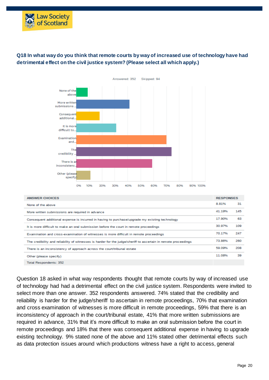

## **Q18 In what way do you think that remote courts by way of increased use of technology have had detrimental effect on the civil justice system? (Please select all which apply.)**



| <b>ANSWER CHOICES</b>                                                                                           | <b>RESPONSES</b> |     |
|-----------------------------------------------------------------------------------------------------------------|------------------|-----|
| None of the above                                                                                               | 8.81%            | 31  |
| More written submissions are required in advance                                                                | 41.19%           | 145 |
| Consequent additional expense is incurred in having to purchase/upgrade my existing technology                  | 17.90%           | 63  |
| It is more difficult to make an oral submission before the court in remote proceedings                          | 30.97%           | 109 |
| Examination and cross-examination of witnesses is more difficult in remote proceedings                          | 70.17%           | 247 |
| The credibility and reliability of witnesses is harder for the judge/sheriff to ascertain in remote proceedings | 73.86%           | 260 |
| There is an inconsistency of approach across the court/tribunal estate                                          | 59 09%           | 208 |
| Other (please specify)                                                                                          | 11 08%           | 39  |
| Total Respondents: 352                                                                                          |                  |     |

Question 18 asked in what way respondents thought that remote courts by way of increased use of technology had had a detrimental effect on the civil justice system. Respondents were invited to select more than one answer. 352 respondents answered. 74% stated that the credibility and reliability is harder for the judge/sheriff to ascertain in remote proceedings, 70% that examination and cross examination of witnesses is more difficult in remote proceedings, 59% that there is an inconsistency of approach in the court/tribunal estate, 41% that more written submissions are required in advance, 31% that it's more difficult to make an oral submission before the court in remote proceedings and 18% that there was consequent additional expense in having to upgrade existing technology. 9% stated none of the above and 11% stated other detrimental effects such as data protection issues around which productions witness have a right to access, general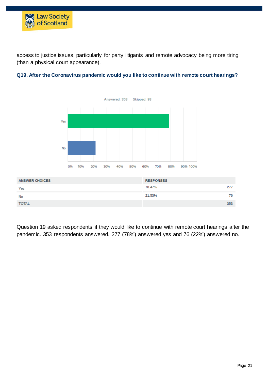

access to justice issues, particularly for party litigants and remote advocacy being more tiring (than a physical court appearance).



#### **Q19. After the Coronavirus pandemic would you like to continue with remote court hearings?**

Question 19 asked respondents if they would like to continue with remote court hearings after the pandemic. 353 respondents answered. 277 (78%) answered yes and 76 (22%) answered no.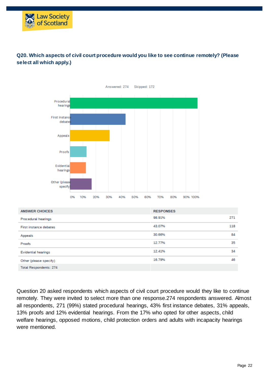

## **Q20. Which aspects of civil court procedure would you like to see continue remotely? (Please select all which apply.)**



Question 20 asked respondents which aspects of civil court procedure would they like to continue remotely. They were invited to select more than one response.274 respondents answered. Almost all respondents, 271 (99%) stated procedural hearings, 43% first instance debates, 31% appeals, 13% proofs and 12% evidential hearings. From the 17% who opted for other aspects, child welfare hearings, opposed motions, child protection orders and adults with incapacity hearings were mentioned.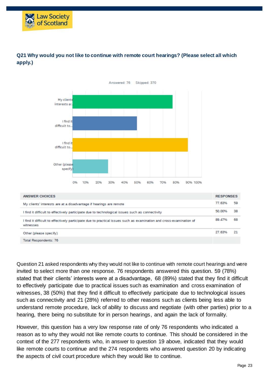



## **Q21 Why would you not like to continue with remote court hearings? (Please select all which apply.)**

Question 21 asked respondents why they would not like to continue with remote court hearings and were invited to select more than one response. 76 respondents answered this question. 59 (78%) stated that their clients' interests were at a disadvantage, 68 (89%) stated that they find it difficult to effectively participate due to practical issues such as examination and cross examination of witnesses, 38 (50%) that they find it difficult to effectively participate due to technological issues such as connectivity and 21 (28%) referred to other reasons such as clients being less able to understand remote procedure, lack of ability to discuss and negotiate (with other parties) prior to a hearing, there being no substitute for in person hearings, and again the lack of formality.

However, this question has a very low response rate of only 76 respondents who indicated a reason as to why they would not like remote courts to continue. This should be considered in the context of the 277 respondents who, in answer to question 19 above, indicated that they would like remote courts to continue and the 274 respondents who answered question 20 by indicating the aspects of civil court procedure which they would like to continue.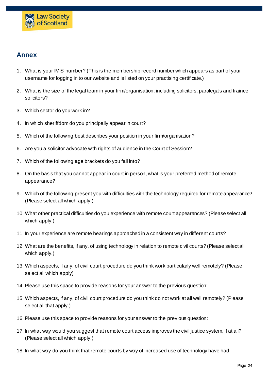

# **Annex**

- 1. What is your IMIS number? (This is the membership record number which appears as part of your username for logging in to our website and is listed on your practising certificate.)
- 2. What is the size of the legal team in your firm/organisation, including solicitors, paralegals and trainee solicitors?
- 3. Which sector do you work in?
- 4. In which sheriffdom do you principally appear in court?
- 5. Which of the following best describes your position in your firm/organisation?
- 6. Are you a solicitor advocate with rights of audience in the Court of Session?
- 7. Which of the following age brackets do you fall into?
- 8. On the basis that you cannot appear in court in person, what is your preferred method of remote appearance?
- 9. Which of the following present you with difficulties with the technology required for remote appearance? (Please select all which apply.)
- 10. What other practical difficulties do you experience with remote court appearances? (Please select all which apply.)
- 11. In your experience are remote hearings approached in a consistent way in different courts?
- 12. What are the benefits, if any, of using technology in relation to remote civil courts? (Please select all which apply.)
- 13. Which aspects, if any, of civil court procedure do you think work particularly well remotely? (Please select all which apply)
- 14. Please use this space to provide reasons for your answer to the previous question:
- 15. Which aspects, if any, of civil court procedure do you think do not work at all well remotely? (Please select all that apply.)
- 16. Please use this space to provide reasons for your answer to the previous question:
- 17. In what way would you suggest that remote court access improves the civil justice system, if at all? (Please select all which apply.)
- 18. In what way do you think that remote courts by way of increased use of technology have had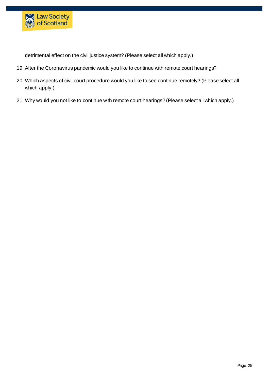

detrimental effect on the civil justice system? (Please select all which apply.)

- 19. After the Coronavirus pandemic would you like to continue with remote court hearings?
- 20. Which aspects of civil court procedure would you like to see continue remotely? (Please select all which apply.)
- 21. Why would you not like to continue with remote court hearings? (Please select all which apply.)